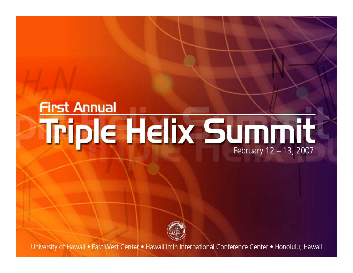# **First Annual** Triple Helix Summit February 12 - 13, 2007



University of Hawaii . East West Center . Hawaii Imin International Conference Center . Honolulu, Hawaii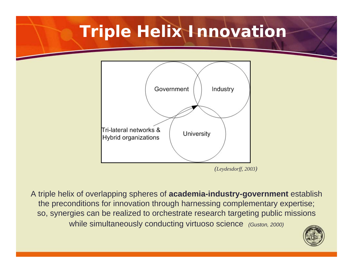## **Triple Helix Innovation**



A triple helix of overlapping spheres of **academia-industry-government** establish the preconditions for innovation through harnessing complementary expertise; so, synergies can be realized to orchestrate research targeting public missions while simultaneously conducting virtuoso science *(Guston, 2000)*

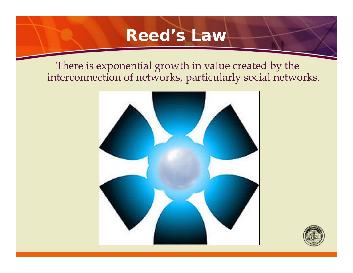### **Reed's Law**

There is exponential growth in value created by the interconnection of networks, particularly social networks.



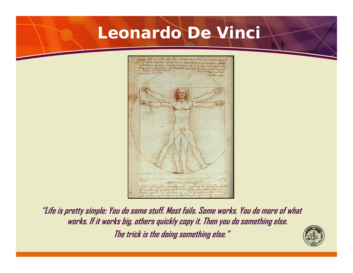### **Leonardo De Vinci**



**"Life is pretty simple: You do some stuff. Most fails. Some works. You do more of what works. If it works big, others quickly copy it. Then you do something else. The trick is the doing something else."**

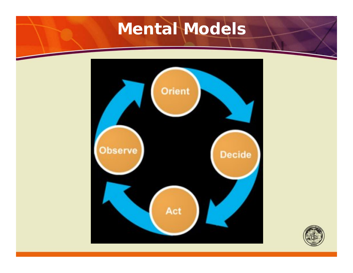## **Mental Models**



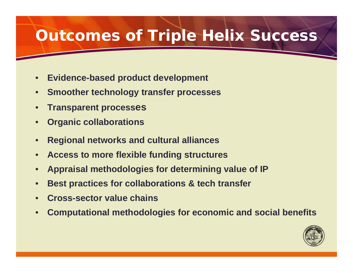### **Outcomes of Triple Helix Success**

- **Evidence-based product development**
- **Smoother technology transfer processes**
- **Transparent processes**
- **Organic collaborations**
- **Regional networks and cultural alliances**
- **Access to more flexible funding structures**
- **Appraisal methodologies for determining value of IP**
- **Best practices for collaborations & tech transfer**
- **Cross-sector value chains**
- **Computational methodologies for economic and social benefits**

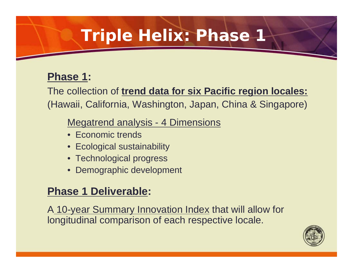#### **Phase 1:**

The collection of **trend data for six Pacific region locales:** (Hawaii, California, Washington, Japan, China & Singapore)

#### Megatrend analysis - 4 Dimensions

- Economic trends
- Ecological sustainability
- Technological progress
- Demographic development

#### **Phase 1 Deliverable:**

A 10-year Summary Innovation Index that will allow for longitudinal comparison of each respective locale.

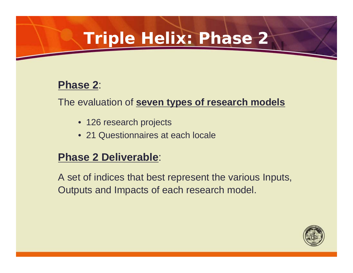#### **Phase 2**:

The evaluation of **seven types of research models**

- 126 research projects
- 21 Questionnaires at each locale

#### **Phase 2 Deliverable**:

A set of indices that best represent the various Inputs, Outputs and Impacts of each research model.

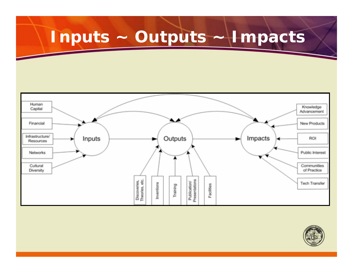# **Inputs ~ Outputs ~ Impacts**



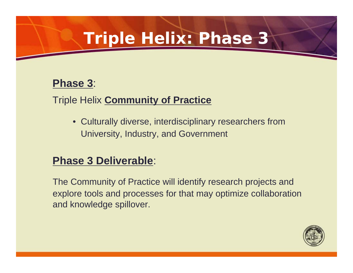#### **Phase 3**:

#### Triple Helix **Community of Practice**

• Culturally diverse, interdisciplinary researchers from University, Industry, and Government

#### **Phase 3 Deliverable**:

The Community of Practice will identify research projects and explore tools and processes for that may optimize collaboration and knowledge spillover.

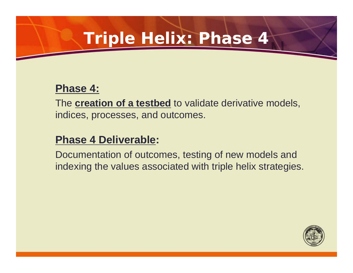#### **Phase 4:**

The **creation of a testbed** to validate derivative models, indices, processes, and outcomes.

#### **Phase 4 Deliverable:**

Documentation of outcomes, testing of new models and indexing the values associated with triple helix strategies.

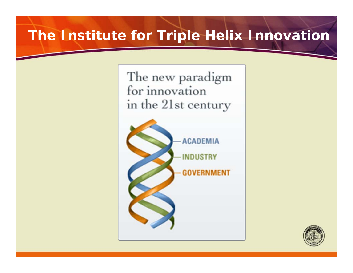### **The Institute for Triple Helix Innovation**

The new paradigm for innovation in the 21st century